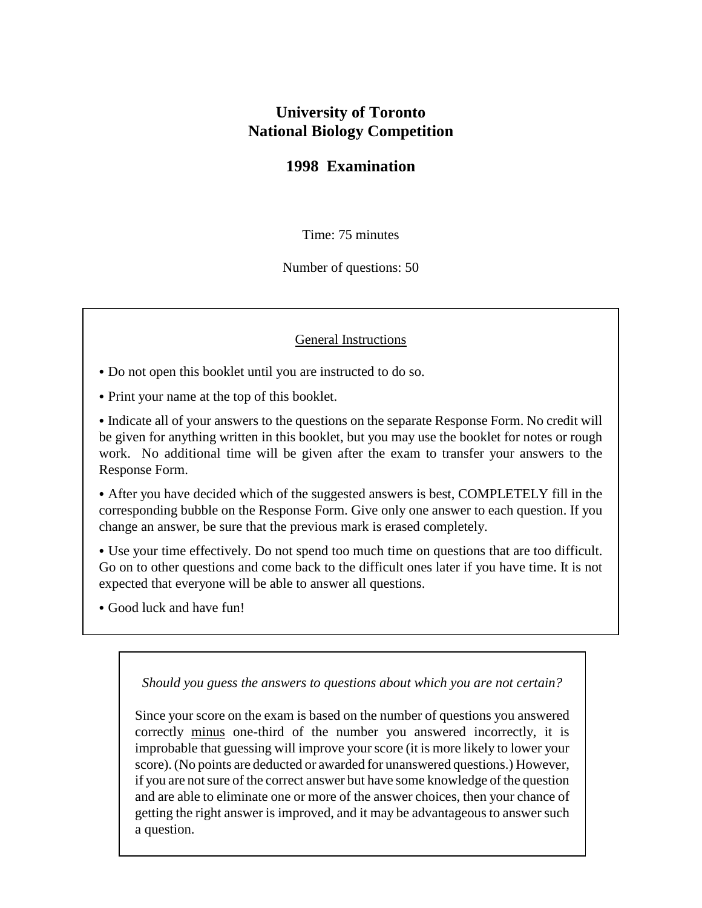## **University of Toronto National Biology Competition**

## **1998 Examination**

Time: 75 minutes

Number of questions: 50

## General Instructions

• Do not open this booklet until you are instructed to do so.

• Print your name at the top of this booklet.

• Indicate all of your answers to the questions on the separate Response Form. No credit will be given for anything written in this booklet, but you may use the booklet for notes or rough work. No additional time will be given after the exam to transfer your answers to the Response Form.

• After you have decided which of the suggested answers is best, COMPLETELY fill in the corresponding bubble on the Response Form. Give only one answer to each question. If you change an answer, be sure that the previous mark is erased completely.

• Use your time effectively. Do not spend too much time on questions that are too difficult. Go on to other questions and come back to the difficult ones later if you have time. It is not expected that everyone will be able to answer all questions.

• Good luck and have fun!

*Should you guess the answers to questions about which you are not certain?*

Since your score on the exam is based on the number of questions you answered correctly minus one-third of the number you answered incorrectly, it is improbable that guessing will improve your score (it is more likely to lower your score). (No points are deducted or awarded for unanswered questions.) However, if you are not sure of the correct answer but have some knowledge of the question and are able to eliminate one or more of the answer choices, then your chance of getting the right answer is improved, and it may be advantageous to answer such a question.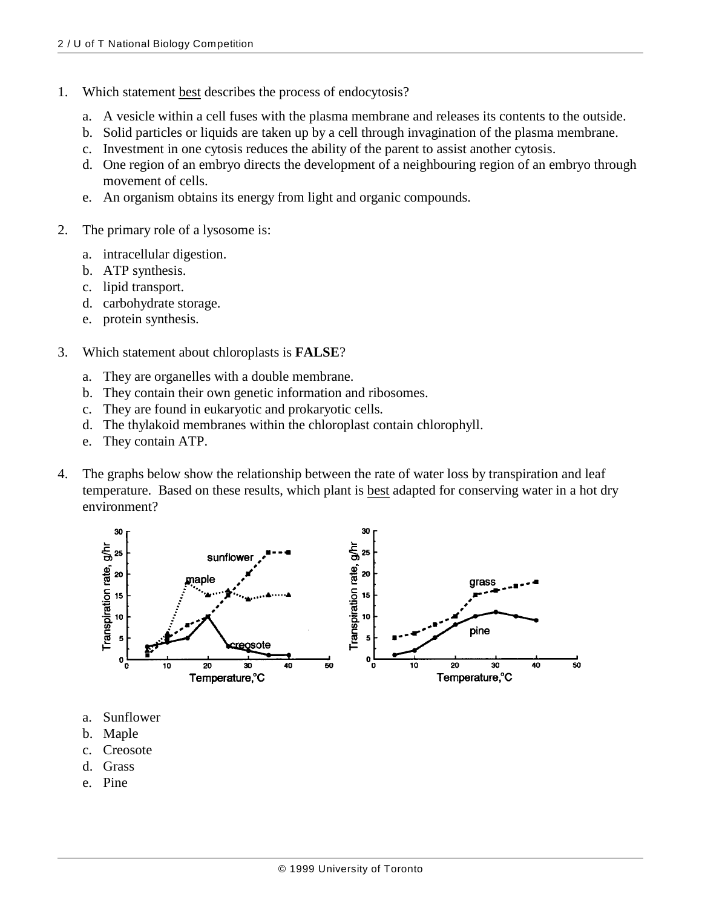- 1. Which statement best describes the process of endocytosis?
	- a. A vesicle within a cell fuses with the plasma membrane and releases its contents to the outside.
	- b. Solid particles or liquids are taken up by a cell through invagination of the plasma membrane.
	- c. Investment in one cytosis reduces the ability of the parent to assist another cytosis.
	- d. One region of an embryo directs the development of a neighbouring region of an embryo through movement of cells.
	- e. An organism obtains its energy from light and organic compounds.
- 2. The primary role of a lysosome is:
	- a. intracellular digestion.
	- b. ATP synthesis.
	- c. lipid transport.
	- d. carbohydrate storage.
	- e. protein synthesis.
- 3. Which statement about chloroplasts is **FALSE**?
	- a. They are organelles with a double membrane.
	- b. They contain their own genetic information and ribosomes.
	- c. They are found in eukaryotic and prokaryotic cells.
	- d. The thylakoid membranes within the chloroplast contain chlorophyll.
	- e. They contain ATP.
- 4. The graphs below show the relationship between the rate of water loss by transpiration and leaf temperature. Based on these results, which plant is best adapted for conserving water in a hot dry environment?



- a. Sunflower
- b. Maple
- c. Creosote
- d. Grass
- e. Pine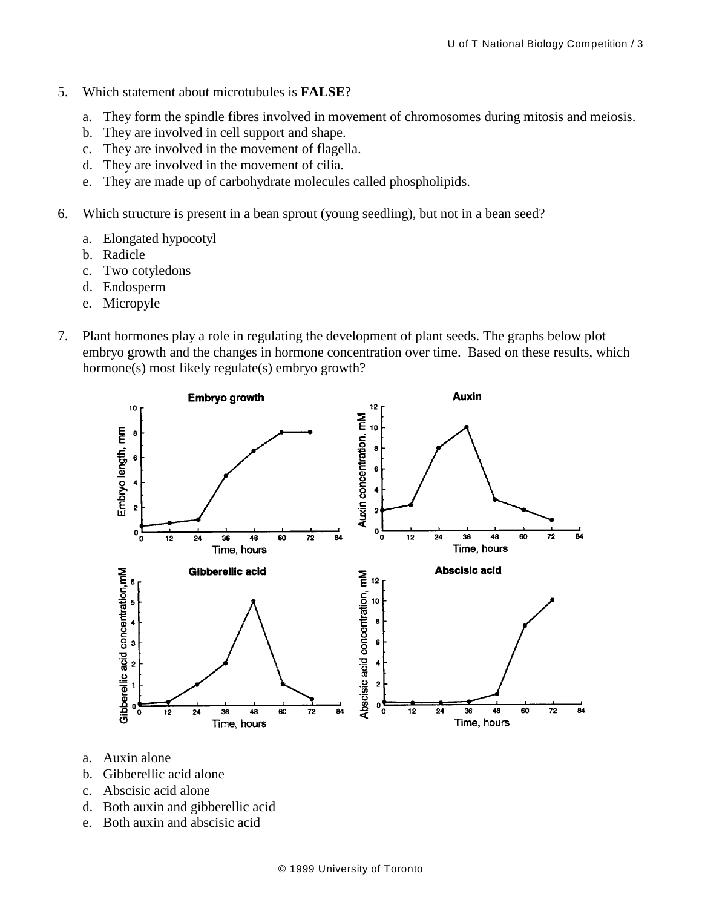- 5. Which statement about microtubules is **FALSE**?
	- a. They form the spindle fibres involved in movement of chromosomes during mitosis and meiosis.
	- b. They are involved in cell support and shape.
	- c. They are involved in the movement of flagella.
	- d. They are involved in the movement of cilia.
	- e. They are made up of carbohydrate molecules called phospholipids.
- 6. Which structure is present in a bean sprout (young seedling), but not in a bean seed?
	- a. Elongated hypocotyl
	- b. Radicle
	- c. Two cotyledons
	- d. Endosperm
	- e. Micropyle
- 7. Plant hormones play a role in regulating the development of plant seeds. The graphs below plot embryo growth and the changes in hormone concentration over time. Based on these results, which hormone(s) most likely regulate(s) embryo growth?



- a. Auxin alone
- b. Gibberellic acid alone
- c. Abscisic acid alone
- d. Both auxin and gibberellic acid
- e. Both auxin and abscisic acid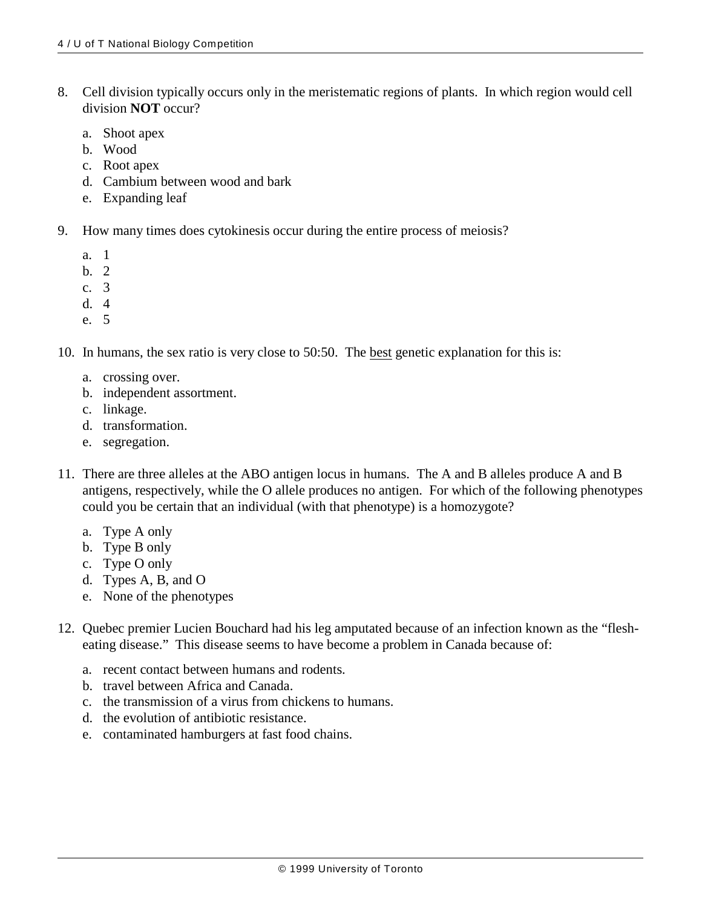- 8. Cell division typically occurs only in the meristematic regions of plants. In which region would cell division **NOT** occur?
	- a. Shoot apex
	- b. Wood
	- c. Root apex
	- d. Cambium between wood and bark
	- e. Expanding leaf
- 9. How many times does cytokinesis occur during the entire process of meiosis?
	- a. 1
	- b. 2
	- c. 3
	- d. 4
	- e. 5

10. In humans, the sex ratio is very close to 50:50. The best genetic explanation for this is:

- a. crossing over.
- b. independent assortment.
- c. linkage.
- d. transformation.
- e. segregation.
- 11. There are three alleles at the ABO antigen locus in humans. The A and B alleles produce A and B antigens, respectively, while the O allele produces no antigen. For which of the following phenotypes could you be certain that an individual (with that phenotype) is a homozygote?
	- a. Type A only
	- b. Type B only
	- c. Type O only
	- d. Types A, B, and O
	- e. None of the phenotypes
- 12. Quebec premier Lucien Bouchard had his leg amputated because of an infection known as the "flesheating disease." This disease seems to have become a problem in Canada because of:
	- a. recent contact between humans and rodents.
	- b. travel between Africa and Canada.
	- c. the transmission of a virus from chickens to humans.
	- d. the evolution of antibiotic resistance.
	- e. contaminated hamburgers at fast food chains.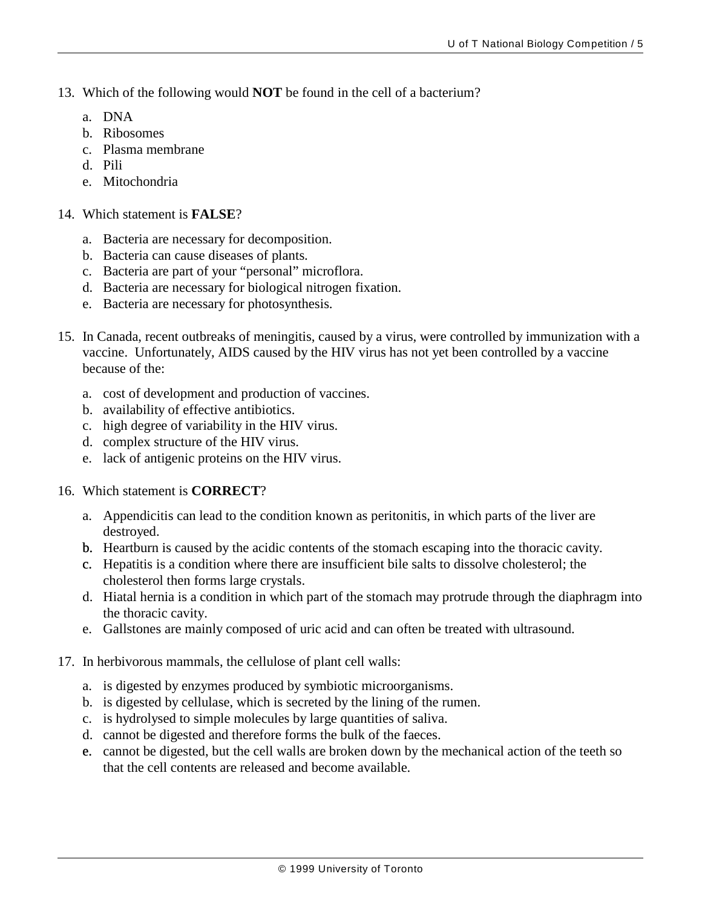- 13. Which of the following would **NOT** be found in the cell of a bacterium?
	- a. DNA
	- b. Ribosomes
	- c. Plasma membrane
	- d. Pili
	- e. Mitochondria
- 14. Which statement is **FALSE**?
	- a. Bacteria are necessary for decomposition.
	- b. Bacteria can cause diseases of plants.
	- c. Bacteria are part of your "personal" microflora.
	- d. Bacteria are necessary for biological nitrogen fixation.
	- e. Bacteria are necessary for photosynthesis.
- 15. In Canada, recent outbreaks of meningitis, caused by a virus, were controlled by immunization with a vaccine. Unfortunately, AIDS caused by the HIV virus has not yet been controlled by a vaccine because of the:
	- a. cost of development and production of vaccines.
	- b. availability of effective antibiotics.
	- c. high degree of variability in the HIV virus.
	- d. complex structure of the HIV virus.
	- e. lack of antigenic proteins on the HIV virus.
- 16. Which statement is **CORRECT**?
	- a. Appendicitis can lead to the condition known as peritonitis, in which parts of the liver are destroyed.
	- b. Heartburn is caused by the acidic contents of the stomach escaping into the thoracic cavity.
	- c. Hepatitis is a condition where there are insufficient bile salts to dissolve cholesterol; the cholesterol then forms large crystals.
	- d. Hiatal hernia is a condition in which part of the stomach may protrude through the diaphragm into the thoracic cavity.
	- e. Gallstones are mainly composed of uric acid and can often be treated with ultrasound.
- 17. In herbivorous mammals, the cellulose of plant cell walls:
	- a. is digested by enzymes produced by symbiotic microorganisms.
	- b. is digested by cellulase, which is secreted by the lining of the rumen.
	- c. is hydrolysed to simple molecules by large quantities of saliva.
	- d. cannot be digested and therefore forms the bulk of the faeces.
	- e. cannot be digested, but the cell walls are broken down by the mechanical action of the teeth so that the cell contents are released and become available.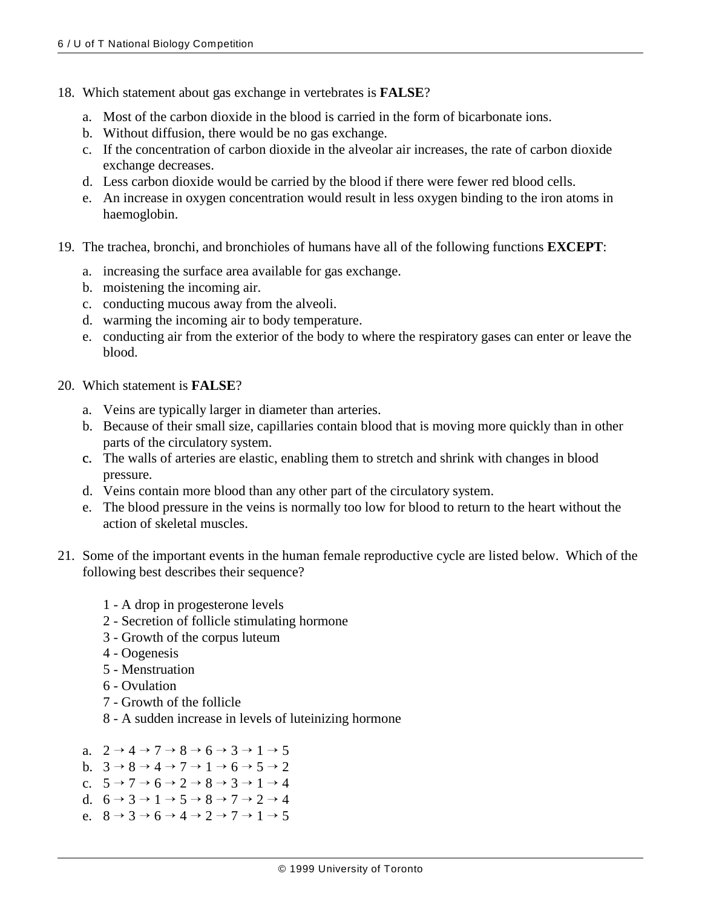- 18. Which statement about gas exchange in vertebrates is **FALSE**?
	- a. Most of the carbon dioxide in the blood is carried in the form of bicarbonate ions.
	- b. Without diffusion, there would be no gas exchange.
	- c. If the concentration of carbon dioxide in the alveolar air increases, the rate of carbon dioxide exchange decreases.
	- d. Less carbon dioxide would be carried by the blood if there were fewer red blood cells.
	- e. An increase in oxygen concentration would result in less oxygen binding to the iron atoms in haemoglobin.
- 19. The trachea, bronchi, and bronchioles of humans have all of the following functions **EXCEPT**:
	- a. increasing the surface area available for gas exchange.
	- b. moistening the incoming air.
	- c. conducting mucous away from the alveoli.
	- d. warming the incoming air to body temperature.
	- e. conducting air from the exterior of the body to where the respiratory gases can enter or leave the blood.
- 20. Which statement is **FALSE**?
	- a. Veins are typically larger in diameter than arteries.
	- b. Because of their small size, capillaries contain blood that is moving more quickly than in other parts of the circulatory system.
	- c. The walls of arteries are elastic, enabling them to stretch and shrink with changes in blood pressure.
	- d. Veins contain more blood than any other part of the circulatory system.
	- e. The blood pressure in the veins is normally too low for blood to return to the heart without the action of skeletal muscles.
- 21. Some of the important events in the human female reproductive cycle are listed below. Which of the following best describes their sequence?
	- 1 A drop in progesterone levels
	- 2 Secretion of follicle stimulating hormone
	- 3 Growth of the corpus luteum
	- 4 Oogenesis
	- 5 Menstruation
	- 6 Ovulation
	- 7 Growth of the follicle
	- 8 A sudden increase in levels of luteinizing hormone
	- a.  $2 \rightarrow 4 \rightarrow 7 \rightarrow 8 \rightarrow 6 \rightarrow 3 \rightarrow 1 \rightarrow 5$
	- b.  $3 \rightarrow 8 \rightarrow 4 \rightarrow 7 \rightarrow 1 \rightarrow 6 \rightarrow 5 \rightarrow 2$
	- c.  $5 \rightarrow 7 \rightarrow 6 \rightarrow 2 \rightarrow 8 \rightarrow 3 \rightarrow 1 \rightarrow 4$
	- d.  $6 \rightarrow 3 \rightarrow 1 \rightarrow 5 \rightarrow 8 \rightarrow 7 \rightarrow 2 \rightarrow 4$
	- e.  $8 \rightarrow 3 \rightarrow 6 \rightarrow 4 \rightarrow 2 \rightarrow 7 \rightarrow 1 \rightarrow 5$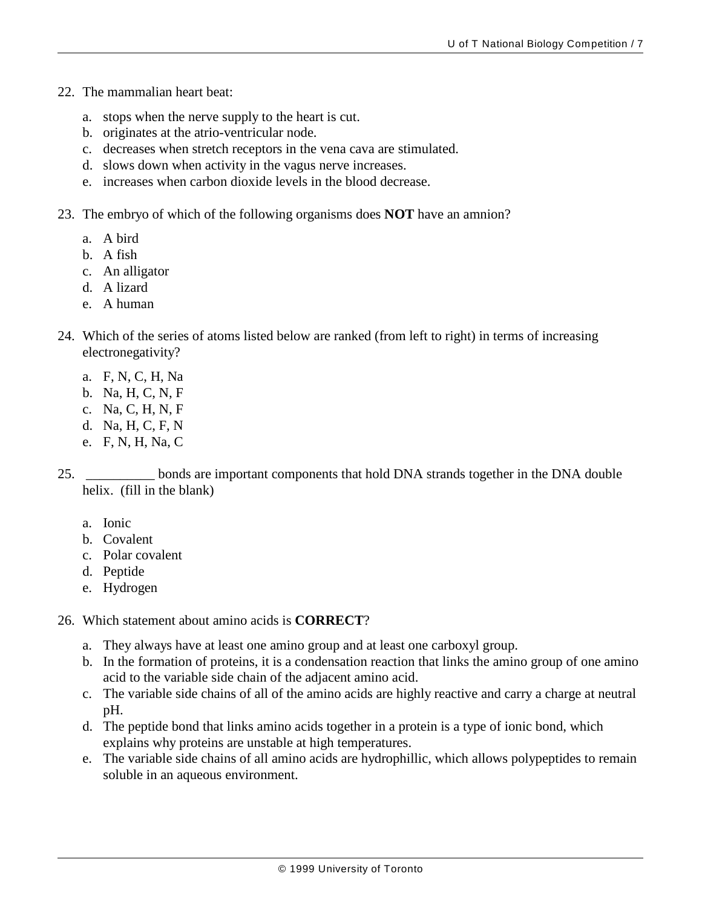- 22. The mammalian heart beat:
	- a. stops when the nerve supply to the heart is cut.
	- b. originates at the atrio-ventricular node.
	- c. decreases when stretch receptors in the vena cava are stimulated.
	- d. slows down when activity in the vagus nerve increases.
	- e. increases when carbon dioxide levels in the blood decrease.
- 23. The embryo of which of the following organisms does **NOT** have an amnion?
	- a. A bird
	- b. A fish
	- c. An alligator
	- d. A lizard
	- e. A human
- 24. Which of the series of atoms listed below are ranked (from left to right) in terms of increasing electronegativity?
	- a. F, N, C, H, Na
	- b. Na, H, C, N, F
	- c. Na, C, H, N, F
	- d. Na, H, C, F, N
	- e. F, N, H, Na, C

25. \_\_\_\_\_\_\_\_\_\_ bonds are important components that hold DNA strands together in the DNA double helix. (fill in the blank)

- a. Ionic
- b. Covalent
- c. Polar covalent
- d. Peptide
- e. Hydrogen
- 26. Which statement about amino acids is **CORRECT**?
	- a. They always have at least one amino group and at least one carboxyl group.
	- b. In the formation of proteins, it is a condensation reaction that links the amino group of one amino acid to the variable side chain of the adjacent amino acid.
	- c. The variable side chains of all of the amino acids are highly reactive and carry a charge at neutral pH.
	- d. The peptide bond that links amino acids together in a protein is a type of ionic bond, which explains why proteins are unstable at high temperatures.
	- e. The variable side chains of all amino acids are hydrophillic, which allows polypeptides to remain soluble in an aqueous environment.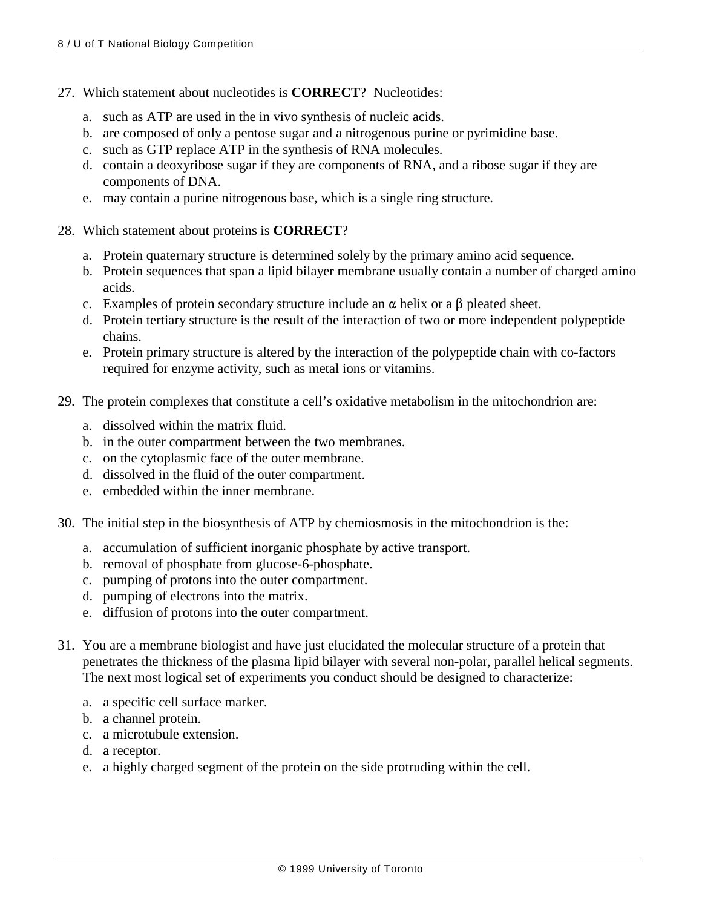- 27. Which statement about nucleotides is **CORRECT**? Nucleotides:
	- a. such as ATP are used in the in vivo synthesis of nucleic acids.
	- b. are composed of only a pentose sugar and a nitrogenous purine or pyrimidine base.
	- c. such as GTP replace ATP in the synthesis of RNA molecules.
	- d. contain a deoxyribose sugar if they are components of RNA, and a ribose sugar if they are components of DNA.
	- e. may contain a purine nitrogenous base, which is a single ring structure.
- 28. Which statement about proteins is **CORRECT**?
	- a. Protein quaternary structure is determined solely by the primary amino acid sequence.
	- b. Protein sequences that span a lipid bilayer membrane usually contain a number of charged amino acids.
	- c. Examples of protein secondary structure include an  $\alpha$  helix or a  $\beta$  pleated sheet.
	- d. Protein tertiary structure is the result of the interaction of two or more independent polypeptide chains.
	- e. Protein primary structure is altered by the interaction of the polypeptide chain with co-factors required for enzyme activity, such as metal ions or vitamins.
- 29. The protein complexes that constitute a cell's oxidative metabolism in the mitochondrion are:
	- a. dissolved within the matrix fluid.
	- b. in the outer compartment between the two membranes.
	- c. on the cytoplasmic face of the outer membrane.
	- d. dissolved in the fluid of the outer compartment.
	- e. embedded within the inner membrane.
- 30. The initial step in the biosynthesis of ATP by chemiosmosis in the mitochondrion is the:
	- a. accumulation of sufficient inorganic phosphate by active transport.
	- b. removal of phosphate from glucose-6-phosphate.
	- c. pumping of protons into the outer compartment.
	- d. pumping of electrons into the matrix.
	- e. diffusion of protons into the outer compartment.
- 31. You are a membrane biologist and have just elucidated the molecular structure of a protein that penetrates the thickness of the plasma lipid bilayer with several non-polar, parallel helical segments. The next most logical set of experiments you conduct should be designed to characterize:
	- a. a specific cell surface marker.
	- b. a channel protein.
	- c. a microtubule extension.
	- d. a receptor.
	- e. a highly charged segment of the protein on the side protruding within the cell.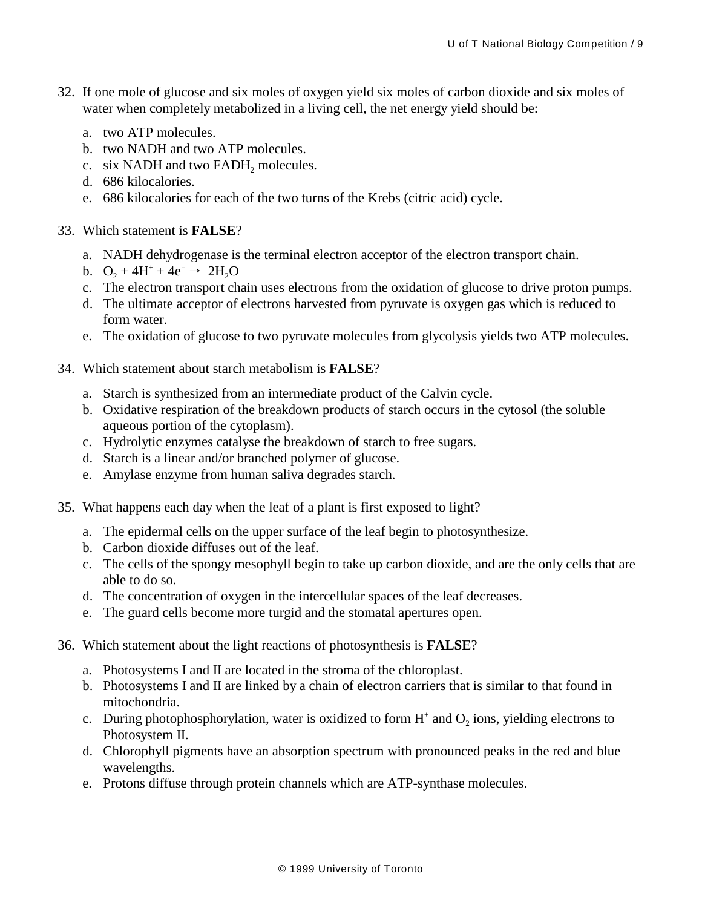- 32. If one mole of glucose and six moles of oxygen yield six moles of carbon dioxide and six moles of water when completely metabolized in a living cell, the net energy yield should be:
	- a. two ATP molecules.
	- b. two NADH and two ATP molecules.
	- c. six NADH and two FADH, molecules.
	- d. 686 kilocalories.
	- e. 686 kilocalories for each of the two turns of the Krebs (citric acid) cycle.
- 33. Which statement is **FALSE**?
	- a. NADH dehydrogenase is the terminal electron acceptor of the electron transport chain.
	- b.  $O_2 + 4H^+ + 4e^- \rightarrow 2H_2O$
	- c. The electron transport chain uses electrons from the oxidation of glucose to drive proton pumps.
	- d. The ultimate acceptor of electrons harvested from pyruvate is oxygen gas which is reduced to form water.
	- e. The oxidation of glucose to two pyruvate molecules from glycolysis yields two ATP molecules.
- 34. Which statement about starch metabolism is **FALSE**?
	- a. Starch is synthesized from an intermediate product of the Calvin cycle.
	- b. Oxidative respiration of the breakdown products of starch occurs in the cytosol (the soluble aqueous portion of the cytoplasm).
	- c. Hydrolytic enzymes catalyse the breakdown of starch to free sugars.
	- d. Starch is a linear and/or branched polymer of glucose.
	- e. Amylase enzyme from human saliva degrades starch.
- 35. What happens each day when the leaf of a plant is first exposed to light?
	- a. The epidermal cells on the upper surface of the leaf begin to photosynthesize.
	- b. Carbon dioxide diffuses out of the leaf.
	- c. The cells of the spongy mesophyll begin to take up carbon dioxide, and are the only cells that are able to do so.
	- d. The concentration of oxygen in the intercellular spaces of the leaf decreases.
	- e. The guard cells become more turgid and the stomatal apertures open.
- 36. Which statement about the light reactions of photosynthesis is **FALSE**?
	- a. Photosystems I and II are located in the stroma of the chloroplast.
	- b. Photosystems I and II are linked by a chain of electron carriers that is similar to that found in mitochondria.
	- c. During photophosphorylation, water is oxidized to form  $H^+$  and  $O_2$  ions, yielding electrons to Photosystem II.
	- d. Chlorophyll pigments have an absorption spectrum with pronounced peaks in the red and blue wavelengths.
	- e. Protons diffuse through protein channels which are ATP-synthase molecules.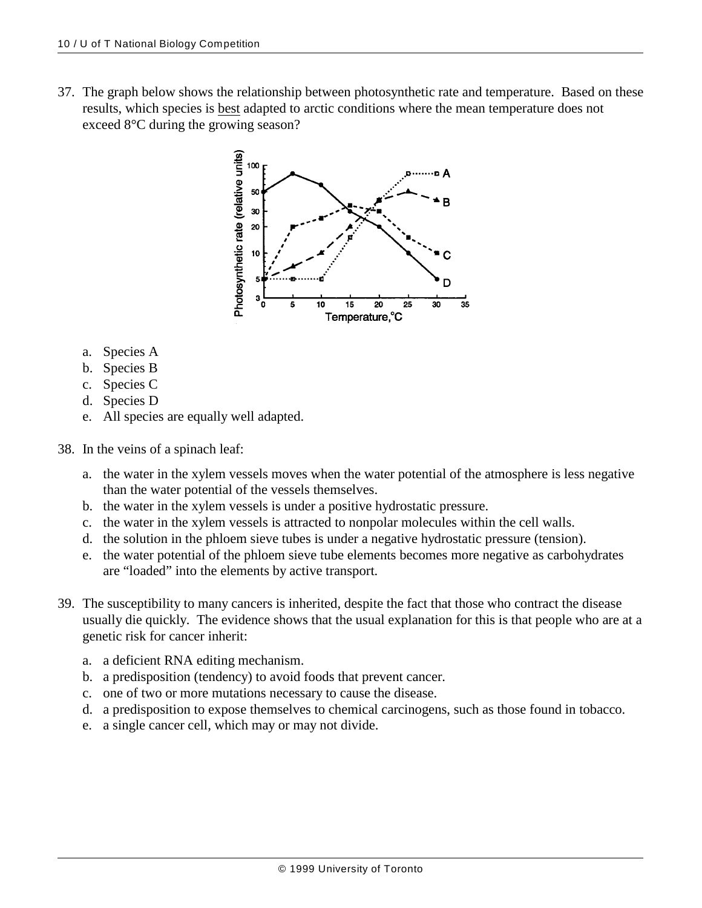37. The graph below shows the relationship between photosynthetic rate and temperature. Based on these results, which species is best adapted to arctic conditions where the mean temperature does not exceed 8°C during the growing season?



- a. Species A
- b. Species B
- c. Species C
- d. Species D
- e. All species are equally well adapted.
- 38. In the veins of a spinach leaf:
	- a. the water in the xylem vessels moves when the water potential of the atmosphere is less negative than the water potential of the vessels themselves.
	- b. the water in the xylem vessels is under a positive hydrostatic pressure.
	- c. the water in the xylem vessels is attracted to nonpolar molecules within the cell walls.
	- d. the solution in the phloem sieve tubes is under a negative hydrostatic pressure (tension).
	- e. the water potential of the phloem sieve tube elements becomes more negative as carbohydrates are "loaded" into the elements by active transport.
- 39. The susceptibility to many cancers is inherited, despite the fact that those who contract the disease usually die quickly. The evidence shows that the usual explanation for this is that people who are at a genetic risk for cancer inherit:
	- a. a deficient RNA editing mechanism.
	- b. a predisposition (tendency) to avoid foods that prevent cancer.
	- c. one of two or more mutations necessary to cause the disease.
	- d. a predisposition to expose themselves to chemical carcinogens, such as those found in tobacco.
	- e. a single cancer cell, which may or may not divide.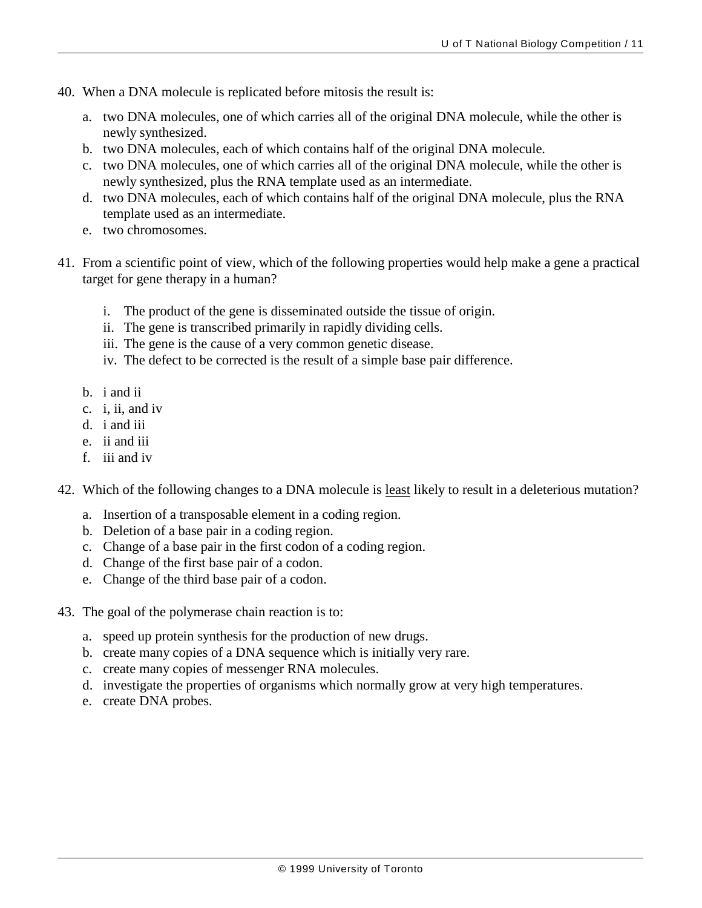- 40. When a DNA molecule is replicated before mitosis the result is:
	- a. two DNA molecules, one of which carries all of the original DNA molecule, while the other is newly synthesized.
	- b. two DNA molecules, each of which contains half of the original DNA molecule.
	- c. two DNA molecules, one of which carries all of the original DNA molecule, while the other is newly synthesized, plus the RNA template used as an intermediate.
	- d. two DNA molecules, each of which contains half of the original DNA molecule, plus the RNA template used as an intermediate.
	- e. two chromosomes.
- 41. From a scientific point of view, which of the following properties would help make a gene a practical target for gene therapy in a human?
	- i. The product of the gene is disseminated outside the tissue of origin.
	- ii. The gene is transcribed primarily in rapidly dividing cells.
	- iii. The gene is the cause of a very common genetic disease.
	- iv. The defect to be corrected is the result of a simple base pair difference.
	- b. i and ii
	- c. i, ii, and iv
	- d. i and iii
	- e. ii and iii
	- f. iii and iv

42. Which of the following changes to a DNA molecule is least likely to result in a deleterious mutation?

- a. Insertion of a transposable element in a coding region.
- b. Deletion of a base pair in a coding region.
- c. Change of a base pair in the first codon of a coding region.
- d. Change of the first base pair of a codon.
- e. Change of the third base pair of a codon.
- 43. The goal of the polymerase chain reaction is to:
	- a. speed up protein synthesis for the production of new drugs.
	- b. create many copies of a DNA sequence which is initially very rare.
	- c. create many copies of messenger RNA molecules.
	- d. investigate the properties of organisms which normally grow at very high temperatures.
	- e. create DNA probes.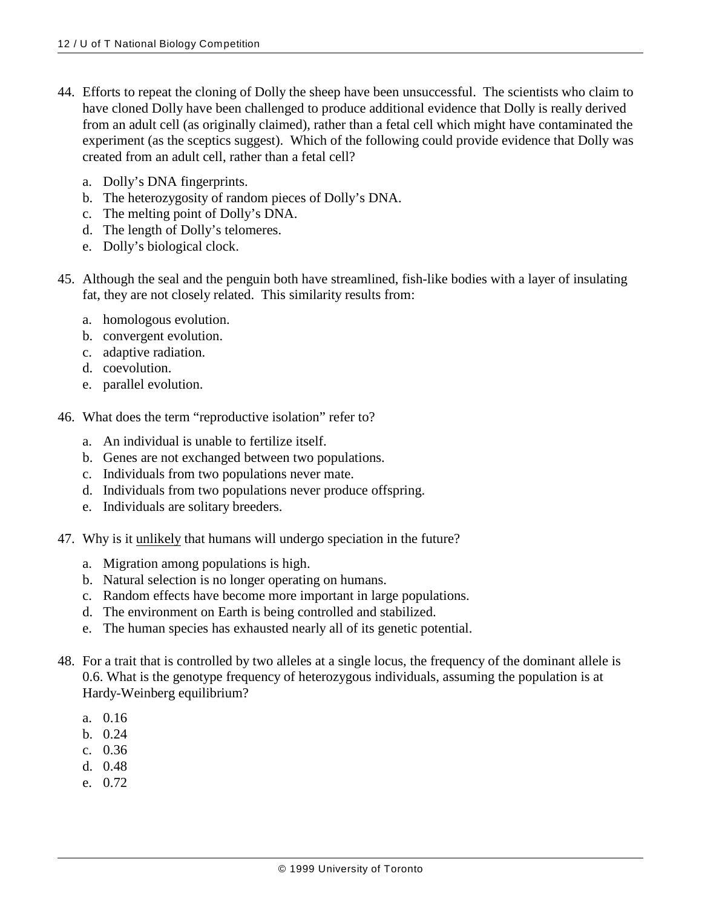- 44. Efforts to repeat the cloning of Dolly the sheep have been unsuccessful. The scientists who claim to have cloned Dolly have been challenged to produce additional evidence that Dolly is really derived from an adult cell (as originally claimed), rather than a fetal cell which might have contaminated the experiment (as the sceptics suggest). Which of the following could provide evidence that Dolly was created from an adult cell, rather than a fetal cell?
	- a. Dolly's DNA fingerprints.
	- b. The heterozygosity of random pieces of Dolly's DNA.
	- c. The melting point of Dolly's DNA.
	- d. The length of Dolly's telomeres.
	- e. Dolly's biological clock.
- 45. Although the seal and the penguin both have streamlined, fish-like bodies with a layer of insulating fat, they are not closely related. This similarity results from:
	- a. homologous evolution.
	- b. convergent evolution.
	- c. adaptive radiation.
	- d. coevolution.
	- e. parallel evolution.
- 46. What does the term "reproductive isolation" refer to?
	- a. An individual is unable to fertilize itself.
	- b. Genes are not exchanged between two populations.
	- c. Individuals from two populations never mate.
	- d. Individuals from two populations never produce offspring.
	- e. Individuals are solitary breeders.
- 47. Why is it unlikely that humans will undergo speciation in the future?
	- a. Migration among populations is high.
	- b. Natural selection is no longer operating on humans.
	- c. Random effects have become more important in large populations.
	- d. The environment on Earth is being controlled and stabilized.
	- e. The human species has exhausted nearly all of its genetic potential.
- 48. For a trait that is controlled by two alleles at a single locus, the frequency of the dominant allele is 0.6. What is the genotype frequency of heterozygous individuals, assuming the population is at Hardy-Weinberg equilibrium?
	- a. 0.16
	- b. 0.24
	- c. 0.36
	- d. 0.48
	- e. 0.72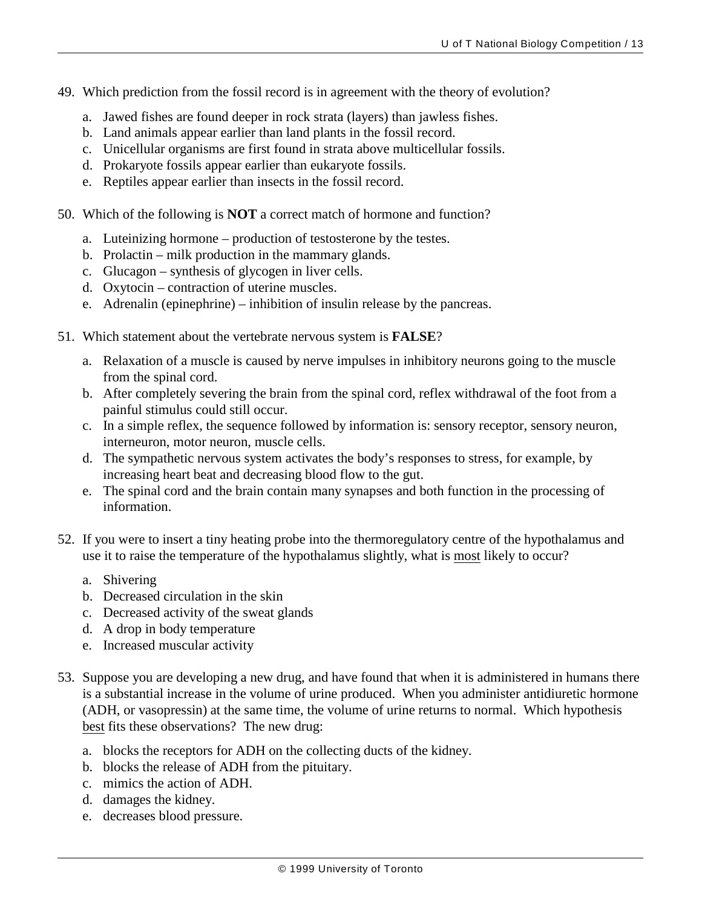- 49. Which prediction from the fossil record is in agreement with the theory of evolution?
	- a. Jawed fishes are found deeper in rock strata (layers) than jawless fishes.
	- b. Land animals appear earlier than land plants in the fossil record.
	- c. Unicellular organisms are first found in strata above multicellular fossils.
	- d. Prokaryote fossils appear earlier than eukaryote fossils.
	- e. Reptiles appear earlier than insects in the fossil record.
- 50. Which of the following is **NOT** a correct match of hormone and function?
	- a. Luteinizing hormone production of testosterone by the testes.
	- b. Prolactin milk production in the mammary glands.
	- c. Glucagon synthesis of glycogen in liver cells.
	- d. Oxytocin contraction of uterine muscles.
	- e. Adrenalin (epinephrine) inhibition of insulin release by the pancreas.
- 51. Which statement about the vertebrate nervous system is **FALSE**?
	- a. Relaxation of a muscle is caused by nerve impulses in inhibitory neurons going to the muscle from the spinal cord.
	- b. After completely severing the brain from the spinal cord, reflex withdrawal of the foot from a painful stimulus could still occur.
	- c. In a simple reflex, the sequence followed by information is: sensory receptor, sensory neuron, interneuron, motor neuron, muscle cells.
	- d. The sympathetic nervous system activates the body's responses to stress, for example, by increasing heart beat and decreasing blood flow to the gut.
	- e. The spinal cord and the brain contain many synapses and both function in the processing of information.
- 52. If you were to insert a tiny heating probe into the thermoregulatory centre of the hypothalamus and use it to raise the temperature of the hypothalamus slightly, what is most likely to occur?
	- a. Shivering
	- b. Decreased circulation in the skin
	- c. Decreased activity of the sweat glands
	- d. A drop in body temperature
	- e. Increased muscular activity
- 53. Suppose you are developing a new drug, and have found that when it is administered in humans there is a substantial increase in the volume of urine produced. When you administer antidiuretic hormone (ADH, or vasopressin) at the same time, the volume of urine returns to normal. Which hypothesis best fits these observations? The new drug:
	- a. blocks the receptors for ADH on the collecting ducts of the kidney.
	- b. blocks the release of ADH from the pituitary.
	- c. mimics the action of ADH.
	- d. damages the kidney.
	- e. decreases blood pressure.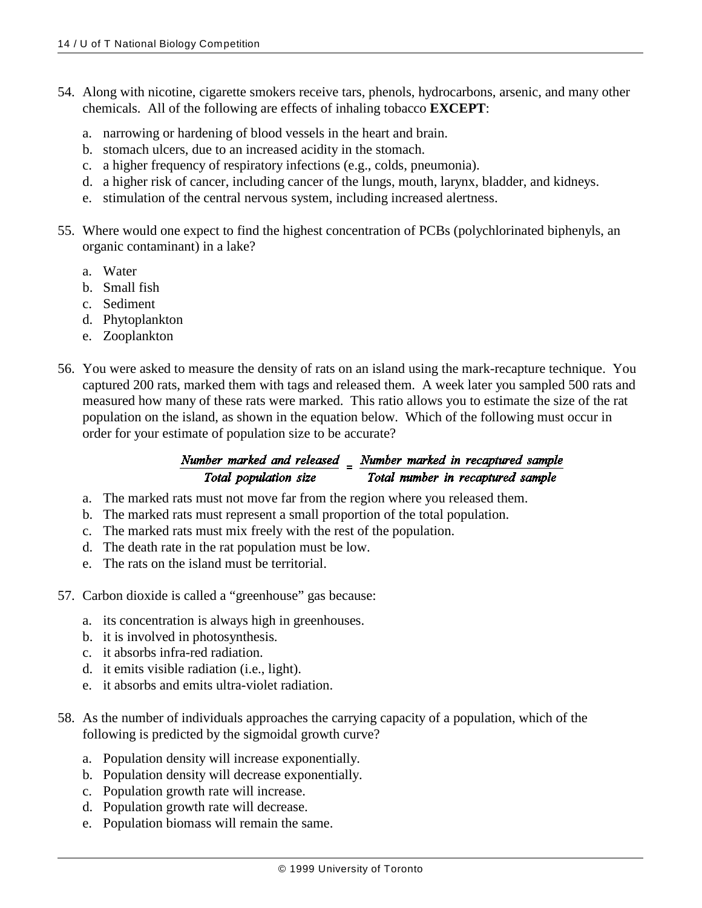- 54. Along with nicotine, cigarette smokers receive tars, phenols, hydrocarbons, arsenic, and many other chemicals. All of the following are effects of inhaling tobacco **EXCEPT**:
	- a. narrowing or hardening of blood vessels in the heart and brain.
	- b. stomach ulcers, due to an increased acidity in the stomach.
	- c. a higher frequency of respiratory infections (e.g., colds, pneumonia).
	- d. a higher risk of cancer, including cancer of the lungs, mouth, larynx, bladder, and kidneys.
	- e. stimulation of the central nervous system, including increased alertness.
- 55. Where would one expect to find the highest concentration of PCBs (polychlorinated biphenyls, an organic contaminant) in a lake?
	- a. Water
	- b. Small fish
	- c. Sediment
	- d. Phytoplankton
	- e. Zooplankton
- 56. You were asked to measure the density of rats on an island using the mark-recapture technique. You captured 200 rats, marked them with tags and released them. A week later you sampled 500 rats and measured how many of these rats were marked. This ratio allows you to estimate the size of the rat population on the island, as shown in the equation below. Which of the following must occur in order for your estimate of population size to be accurate?

## Number marked and released  $=$  Number marked in recaptured sample Total population size Total number in recaptured sample

- a. The marked rats must not move far from the region where you released them.
- b. The marked rats must represent a small proportion of the total population.
- c. The marked rats must mix freely with the rest of the population.
- d. The death rate in the rat population must be low.
- e. The rats on the island must be territorial.
- 57. Carbon dioxide is called a "greenhouse" gas because:
	- a. its concentration is always high in greenhouses.
	- b. it is involved in photosynthesis.
	- c. it absorbs infra-red radiation.
	- d. it emits visible radiation (i.e., light).
	- e. it absorbs and emits ultra-violet radiation.
- 58. As the number of individuals approaches the carrying capacity of a population, which of the following is predicted by the sigmoidal growth curve?
	- a. Population density will increase exponentially.
	- b. Population density will decrease exponentially.
	- c. Population growth rate will increase.
	- d. Population growth rate will decrease.
	- e. Population biomass will remain the same.